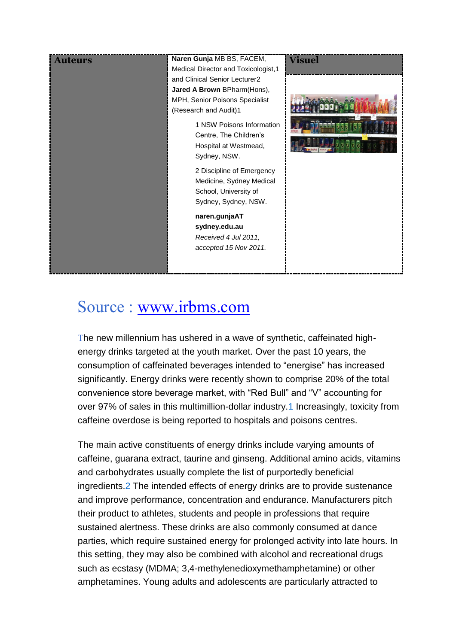| <b>Auteurs</b> | Naren Gunja MB BS, FACEM,<br>Medical Director and Toxicologist, 1<br>and Clinical Senior Lecturer2<br>Jared A Brown BPharm(Hons),<br>MPH, Senior Poisons Specialist<br>(Research and Audit)1<br>1 NSW Poisons Information<br>Centre, The Children's<br>Hospital at Westmead,<br>Sydney, NSW.<br>2 Discipline of Emergency<br>Medicine, Sydney Medical<br>School, University of<br>Sydney, Sydney, NSW.<br>naren.gunjaAT<br>sydney.edu.au<br>Received 4 Jul 2011, | <b>Visuel</b> |
|----------------|------------------------------------------------------------------------------------------------------------------------------------------------------------------------------------------------------------------------------------------------------------------------------------------------------------------------------------------------------------------------------------------------------------------------------------------------------------------|---------------|
|                | accepted 15 Nov 2011.                                                                                                                                                                                                                                                                                                                                                                                                                                            |               |

# Source : [www.irbms.com](http://www.irbms.com/)

The new millennium has ushered in a wave of synthetic, caffeinated highenergy drinks targeted at the youth market. Over the past 10 years, the consumption of caffeinated beverages intended to "energise" has increased significantly. Energy drinks were recently shown to comprise 20% of the total convenience store beverage market, with "Red Bull" and "V" accounting for over 97% of sales in this multimillion-dollar industry[.1](http://www.mja.com.au/public/issues/196_01_160112/gun10838_fm.html#0_i1149996) Increasingly, toxicity from caffeine overdose is being reported to hospitals and poisons centres.

The main active constituents of energy drinks include varying amounts of caffeine, guarana extract, taurine and ginseng. Additional amino acids, vitamins and carbohydrates usually complete the list of purportedly beneficial ingredients[.2](http://www.mja.com.au/public/issues/196_01_160112/gun10838_fm.html#0_i1149998) The intended effects of energy drinks are to provide sustenance and improve performance, concentration and endurance. Manufacturers pitch their product to athletes, students and people in professions that require sustained alertness. These drinks are also commonly consumed at dance parties, which require sustained energy for prolonged activity into late hours. In this setting, they may also be combined with alcohol and recreational drugs such as ecstasy (MDMA; 3,4-methylenedioxymethamphetamine) or other amphetamines. Young adults and adolescents are particularly attracted to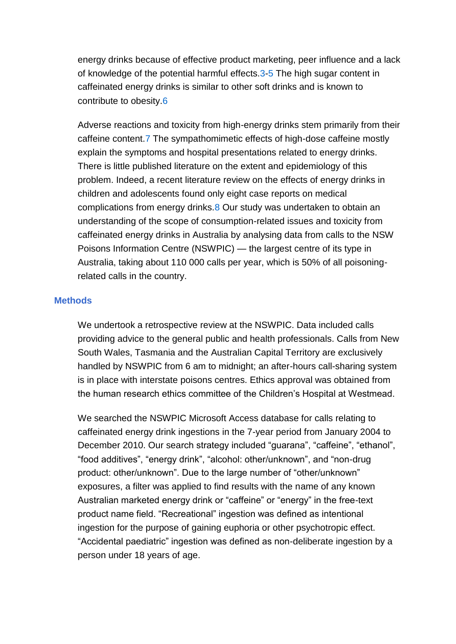energy drinks because of effective product marketing, peer influence and a lack of knowledge of the potential harmful effects[.3-](http://www.mja.com.au/public/issues/196_01_160112/gun10838_fm.html#0_i1150000)[5](http://www.mja.com.au/public/issues/196_01_160112/gun10838_fm.html#0_i1150004) The high sugar content in caffeinated energy drinks is similar to other soft drinks and is known to contribute to obesity[.6](http://www.mja.com.au/public/issues/196_01_160112/gun10838_fm.html#0_i1150006)

Adverse reactions and toxicity from high-energy drinks stem primarily from their caffeine content[.7](http://www.mja.com.au/public/issues/196_01_160112/gun10838_fm.html#0_i1150008) The sympathomimetic effects of high-dose caffeine mostly explain the symptoms and hospital presentations related to energy drinks. There is little published literature on the extent and epidemiology of this problem. Indeed, a recent literature review on the effects of energy drinks in children and adolescents found only eight case reports on medical complications from energy drinks[.8](http://www.mja.com.au/public/issues/196_01_160112/gun10838_fm.html#0_i1150010) Our study was undertaken to obtain an understanding of the scope of consumption-related issues and toxicity from caffeinated energy drinks in Australia by analysing data from calls to the NSW Poisons Information Centre (NSWPIC) — the largest centre of its type in Australia, taking about 110 000 calls per year, which is 50% of all poisoningrelated calls in the country.

#### **Methods**

We undertook a retrospective review at the NSWPIC. Data included calls providing advice to the general public and health professionals. Calls from New South Wales, Tasmania and the Australian Capital Territory are exclusively handled by NSWPIC from 6 am to midnight; an after-hours call-sharing system is in place with interstate poisons centres. Ethics approval was obtained from the human research ethics committee of the Children's Hospital at Westmead.

We searched the NSWPIC Microsoft Access database for calls relating to caffeinated energy drink ingestions in the 7-year period from January 2004 to December 2010. Our search strategy included "guarana", "caffeine", "ethanol", "food additives", "energy drink", "alcohol: other/unknown", and "non-drug product: other/unknown". Due to the large number of "other/unknown" exposures, a filter was applied to find results with the name of any known Australian marketed energy drink or "caffeine" or "energy" in the free-text product name field. "Recreational" ingestion was defined as intentional ingestion for the purpose of gaining euphoria or other psychotropic effect. "Accidental paediatric" ingestion was defined as non-deliberate ingestion by a person under 18 years of age.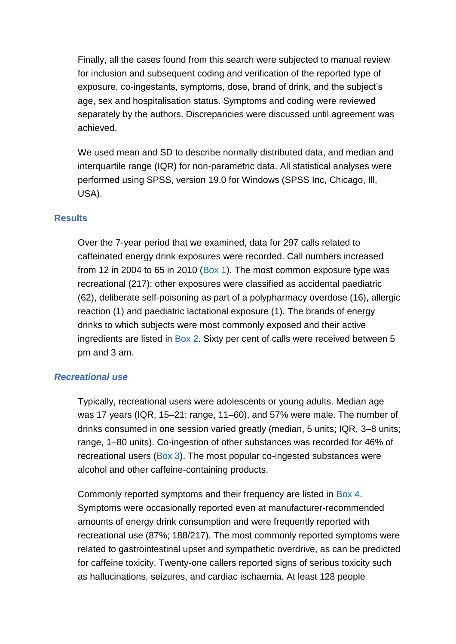Finally, all the cases found from this search were subjected to manual review for inclusion and subsequent coding and verification of the reported type of exposure, co-ingestants, symptoms, dose, brand of drink, and the subject's age, sex and hospitalisation status. Symptoms and coding were reviewed separately by the authors. Discrepancies were discussed until agreement was achieved.

We used mean and SD to describe normally distributed data, and median and interquartile range (IQR) for non-parametric data. All statistical analyses were performed using SPSS, version 19.0 for Windows (SPSS Inc, Chicago, Ill, USA).

#### **Results**

Over the 7-year period that we examined, data for 297 calls related to caffeinated energy drink exposures were recorded. Call numbers increased from 12 in 2004 to 65 in 2010 [\(Box 1\)](http://www.mja.com.au/public/issues/196_01_160112/gun10838_fm.html#0_CHDBJBFD). The most common exposure type was recreational (217); other exposures were classified as accidental paediatric (62), deliberate self-poisoning as part of a polypharmacy overdose (16), allergic reaction (1) and paediatric lactational exposure (1). The brands of energy drinks to which subjects were most commonly exposed and their active ingredients are listed in [Box 2.](http://www.mja.com.au/public/issues/196_01_160112/gun10838_fm.html#0_CHDCJIEA) Sixty per cent of calls were received between 5 pm and 3 am.

#### *Recreational use*

Typically, recreational users were adolescents or young adults. Median age was 17 years (IQR, 15–21; range, 11–60), and 57% were male. The number of drinks consumed in one session varied greatly (median, 5 units; IQR, 3–8 units; range, 1–80 units). Co-ingestion of other substances was recorded for 46% of recreational users [\(Box 3\)](http://www.mja.com.au/public/issues/196_01_160112/gun10838_fm.html#0_CHDBGBAD). The most popular co-ingested substances were alcohol and other caffeine-containing products.

Commonly reported symptoms and their frequency are listed in [Box 4.](http://www.mja.com.au/public/issues/196_01_160112/gun10838_fm.html#0_CHDGFCCA) Symptoms were occasionally reported even at manufacturer-recommended amounts of energy drink consumption and were frequently reported with recreational use (87%; 188/217). The most commonly reported symptoms were related to gastrointestinal upset and sympathetic overdrive, as can be predicted for caffeine toxicity. Twenty-one callers reported signs of serious toxicity such as hallucinations, seizures, and cardiac ischaemia. At least 128 people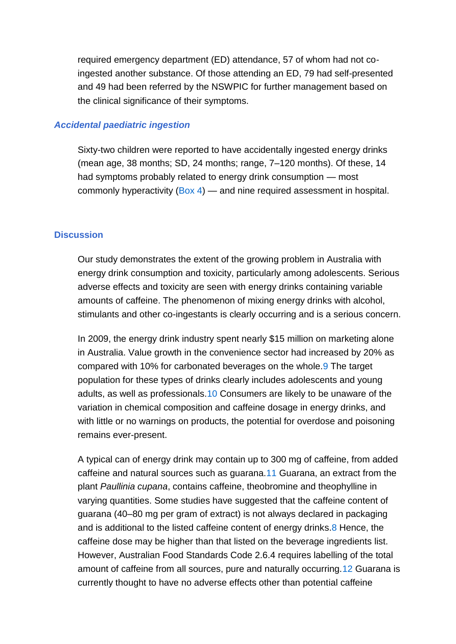required emergency department (ED) attendance, 57 of whom had not coingested another substance. Of those attending an ED, 79 had self-presented and 49 had been referred by the NSWPIC for further management based on the clinical significance of their symptoms.

#### *Accidental paediatric ingestion*

Sixty-two children were reported to have accidentally ingested energy drinks (mean age, 38 months; SD, 24 months; range, 7–120 months). Of these, 14 had symptoms probably related to energy drink consumption — most commonly hyperactivity [\(Box 4\)](http://www.mja.com.au/public/issues/196_01_160112/gun10838_fm.html#0_CHDGFCCA) — and nine required assessment in hospital.

#### **Discussion**

Our study demonstrates the extent of the growing problem in Australia with energy drink consumption and toxicity, particularly among adolescents. Serious adverse effects and toxicity are seen with energy drinks containing variable amounts of caffeine. The phenomenon of mixing energy drinks with alcohol, stimulants and other co-ingestants is clearly occurring and is a serious concern.

In 2009, the energy drink industry spent nearly \$15 million on marketing alone in Australia. Value growth in the convenience sector had increased by 20% as compared with 10% for carbonated beverages on the whole[.9](http://www.mja.com.au/public/issues/196_01_160112/gun10838_fm.html#0_i1150012) The target population for these types of drinks clearly includes adolescents and young adults, as well as professionals[.10](http://www.mja.com.au/public/issues/196_01_160112/gun10838_fm.html#0_i1150014) Consumers are likely to be unaware of the variation in chemical composition and caffeine dosage in energy drinks, and with little or no warnings on products, the potential for overdose and poisoning remains ever-present.

A typical can of energy drink may contain up to 300 mg of caffeine, from added caffeine and natural sources such as guarana[.11](http://www.mja.com.au/public/issues/196_01_160112/gun10838_fm.html#0_i1150016) Guarana, an extract from the plant *Paullinia cupana*, contains caffeine, theobromine and theophylline in varying quantities. Some studies have suggested that the caffeine content of guarana (40–80 mg per gram of extract) is not always declared in packaging and is additional to the listed caffeine content of energy drinks[.8](http://www.mja.com.au/public/issues/196_01_160112/gun10838_fm.html#0_i1150010) Hence, the caffeine dose may be higher than that listed on the beverage ingredients list. However, Australian Food Standards Code 2.6.4 requires labelling of the total amount of caffeine from all sources, pure and naturally occurring[.12](http://www.mja.com.au/public/issues/196_01_160112/gun10838_fm.html#0_i1150018) Guarana is currently thought to have no adverse effects other than potential caffeine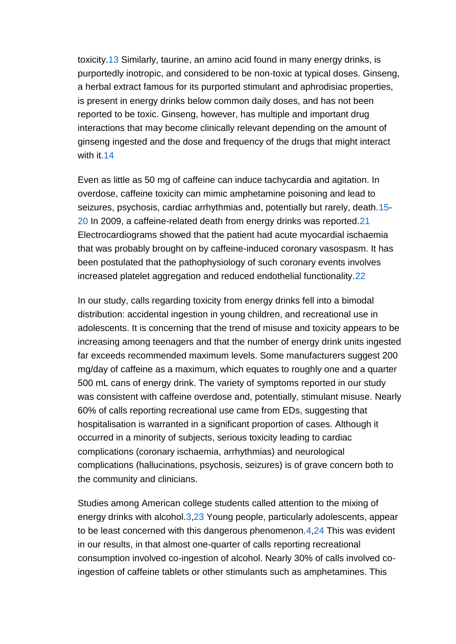toxicity[.13](http://www.mja.com.au/public/issues/196_01_160112/gun10838_fm.html#0_i1150020) Similarly, taurine, an amino acid found in many energy drinks, is purportedly inotropic, and considered to be non-toxic at typical doses. Ginseng, a herbal extract famous for its purported stimulant and aphrodisiac properties, is present in energy drinks below common daily doses, and has not been reported to be toxic. Ginseng, however, has multiple and important drug interactions that may become clinically relevant depending on the amount of ginseng ingested and the dose and frequency of the drugs that might interact with it[.14](http://www.mja.com.au/public/issues/196_01_160112/gun10838_fm.html#0_i1150022)

Even as little as 50 mg of caffeine can induce tachycardia and agitation. In overdose, caffeine toxicity can mimic amphetamine poisoning and lead to seizures, psychosis, cardiac arrhythmias and, potentially but rarely, death[.15-](http://www.mja.com.au/public/issues/196_01_160112/gun10838_fm.html#0_i1150024) [20](http://www.mja.com.au/public/issues/196_01_160112/gun10838_fm.html#0_i1150031) In 2009, a caffeine-related death from energy drinks was reported[.21](http://www.mja.com.au/public/issues/196_01_160112/gun10838_fm.html#0_i1150033) Electrocardiograms showed that the patient had acute myocardial ischaemia that was probably brought on by caffeine-induced coronary vasospasm. It has been postulated that the pathophysiology of such coronary events involves increased platelet aggregation and reduced endothelial functionality[.22](http://www.mja.com.au/public/issues/196_01_160112/gun10838_fm.html#0_i1150035)

In our study, calls regarding toxicity from energy drinks fell into a bimodal distribution: accidental ingestion in young children, and recreational use in adolescents. It is concerning that the trend of misuse and toxicity appears to be increasing among teenagers and that the number of energy drink units ingested far exceeds recommended maximum levels. Some manufacturers suggest 200 mg/day of caffeine as a maximum, which equates to roughly one and a quarter 500 mL cans of energy drink. The variety of symptoms reported in our study was consistent with caffeine overdose and, potentially, stimulant misuse. Nearly 60% of calls reporting recreational use came from EDs, suggesting that hospitalisation is warranted in a significant proportion of cases. Although it occurred in a minority of subjects, serious toxicity leading to cardiac complications (coronary ischaemia, arrhythmias) and neurological complications (hallucinations, psychosis, seizures) is of grave concern both to the community and clinicians.

Studies among American college students called attention to the mixing of energy drinks with alcohol[.3,](http://www.mja.com.au/public/issues/196_01_160112/gun10838_fm.html#0_i1150000)[23](http://www.mja.com.au/public/issues/196_01_160112/gun10838_fm.html#0_i1150037) Young people, particularly adolescents, appear to be least concerned with this dangerous phenomenon[.4,](http://www.mja.com.au/public/issues/196_01_160112/gun10838_fm.html#0_i1150002)[24](http://www.mja.com.au/public/issues/196_01_160112/gun10838_fm.html#0_i1150039) This was evident in our results, in that almost one-quarter of calls reporting recreational consumption involved co-ingestion of alcohol. Nearly 30% of calls involved coingestion of caffeine tablets or other stimulants such as amphetamines. This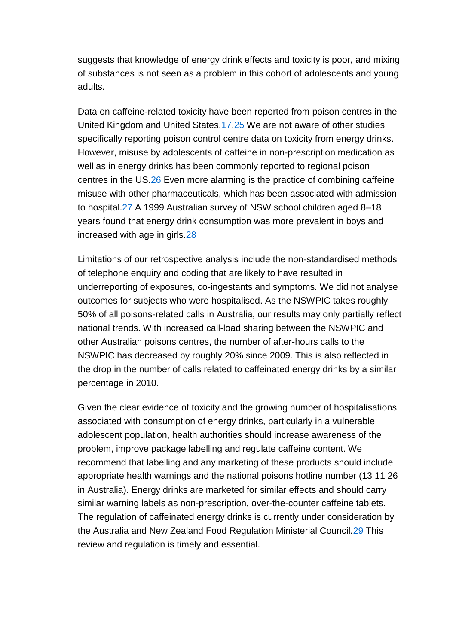suggests that knowledge of energy drink effects and toxicity is poor, and mixing of substances is not seen as a problem in this cohort of adolescents and young adults.

Data on caffeine-related toxicity have been reported from poison centres in the United Kingdom and United States[.17](http://www.mja.com.au/public/issues/196_01_160112/gun10838_fm.html#0_i1150027)[,25](http://www.mja.com.au/public/issues/196_01_160112/gun10838_fm.html#0_i1150041) We are not aware of other studies specifically reporting poison control centre data on toxicity from energy drinks. However, misuse by adolescents of caffeine in non-prescription medication as well as in energy drinks has been commonly reported to regional poison centres in the US[.26](http://www.mja.com.au/public/issues/196_01_160112/gun10838_fm.html#0_i1150043) Even more alarming is the practice of combining caffeine misuse with other pharmaceuticals, which has been associated with admission to hospital[.27](http://www.mja.com.au/public/issues/196_01_160112/gun10838_fm.html#0_i1150045) A 1999 Australian survey of NSW school children aged 8–18 years found that energy drink consumption was more prevalent in boys and increased with age in girls[.28](http://www.mja.com.au/public/issues/196_01_160112/gun10838_fm.html#0_i1150048)

Limitations of our retrospective analysis include the non-standardised methods of telephone enquiry and coding that are likely to have resulted in underreporting of exposures, co-ingestants and symptoms. We did not analyse outcomes for subjects who were hospitalised. As the NSWPIC takes roughly 50% of all poisons-related calls in Australia, our results may only partially reflect national trends. With increased call-load sharing between the NSWPIC and other Australian poisons centres, the number of after-hours calls to the NSWPIC has decreased by roughly 20% since 2009. This is also reflected in the drop in the number of calls related to caffeinated energy drinks by a similar percentage in 2010.

Given the clear evidence of toxicity and the growing number of hospitalisations associated with consumption of energy drinks, particularly in a vulnerable adolescent population, health authorities should increase awareness of the problem, improve package labelling and regulate caffeine content. We recommend that labelling and any marketing of these products should include appropriate health warnings and the national poisons hotline number (13 11 26 in Australia). Energy drinks are marketed for similar effects and should carry similar warning labels as non-prescription, over-the-counter caffeine tablets. The regulation of caffeinated energy drinks is currently under consideration by the Australia and New Zealand Food Regulation Ministerial Council[.29](http://www.mja.com.au/public/issues/196_01_160112/gun10838_fm.html#0_i1150050) This review and regulation is timely and essential.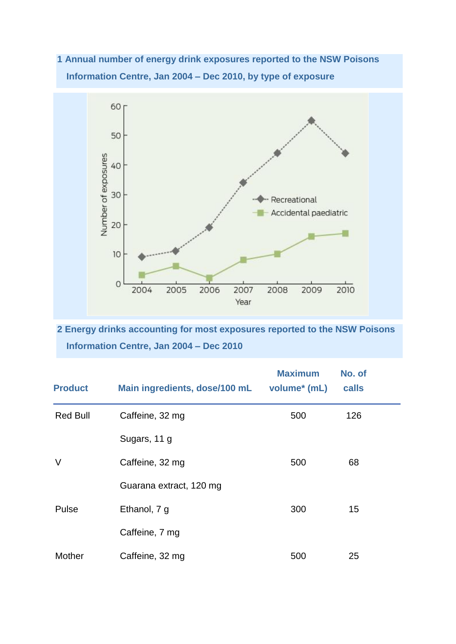**1 Annual number of energy drink exposures reported to the NSW Poisons Information Centre, Jan 2004 – Dec 2010, by type of exposure**



**2 Energy drinks accounting for most exposures reported to the NSW Poisons Information Centre, Jan 2004 – Dec 2010**

| <b>Product</b>  | Main ingredients, dose/100 mL | <b>Maximum</b><br>volume <sup>*</sup> (mL) | No. of<br>calls |  |
|-----------------|-------------------------------|--------------------------------------------|-----------------|--|
| <b>Red Bull</b> | Caffeine, 32 mg               | 500                                        | 126             |  |
|                 | Sugars, 11 g                  |                                            |                 |  |
| $\vee$          | Caffeine, 32 mg               | 500                                        | 68              |  |
|                 | Guarana extract, 120 mg       |                                            |                 |  |
| Pulse           | Ethanol, 7 g                  | 300                                        | 15              |  |
|                 | Caffeine, 7 mg                |                                            |                 |  |
| Mother          | Caffeine, 32 mg               | 500                                        | 25              |  |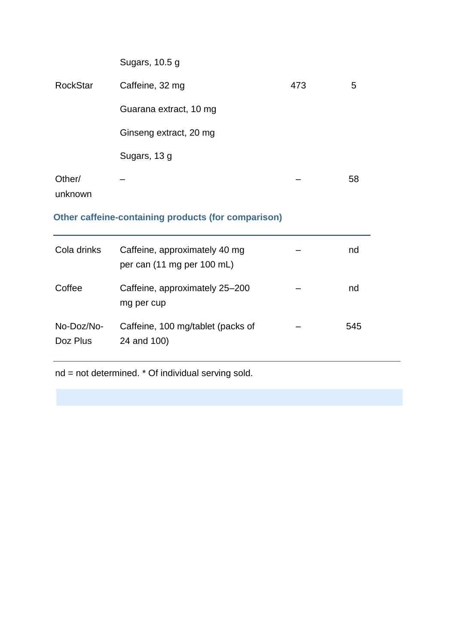| Sugars, 10.5 g         |     |    |
|------------------------|-----|----|
| Caffeine, 32 mg        | 473 | 5  |
| Guarana extract, 10 mg |     |    |
| Ginseng extract, 20 mg |     |    |
| Sugars, 13 g           |     |    |
|                        |     | 58 |
|                        |     |    |

#### unknown

## **Other caffeine-containing products (for comparison)**

| Cola drinks            | Caffeine, approximately 40 mg<br>per can (11 mg per 100 mL) | nd  |
|------------------------|-------------------------------------------------------------|-----|
| Coffee                 | Caffeine, approximately 25-200<br>mg per cup                | nd  |
| No-Doz/No-<br>Doz Plus | Caffeine, 100 mg/tablet (packs of<br>24 and 100)            | 545 |

nd = not determined. \* Of individual serving sold.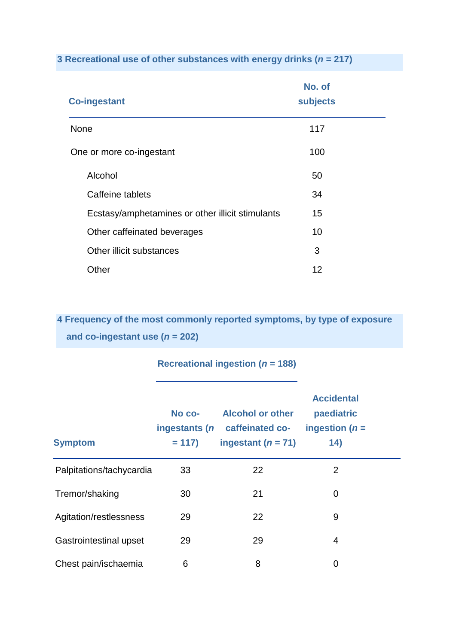**3 Recreational use of other substances with energy drinks (***n* **= 217)**

| <b>Co-ingestant</b>                              | No. of<br><b>subjects</b> |  |
|--------------------------------------------------|---------------------------|--|
| <b>None</b>                                      | 117                       |  |
| One or more co-ingestant                         | 100                       |  |
| Alcohol                                          | 50                        |  |
| Caffeine tablets                                 | 34                        |  |
| Ecstasy/amphetamines or other illicit stimulants | 15                        |  |
| Other caffeinated beverages                      | 10                        |  |
| Other illicit substances                         | 3                         |  |
| Other                                            | 12                        |  |

**4 Frequency of the most commonly reported symptoms, by type of exposure and co-ingestant use (***n* **= 202)**

### **Recreational ingestion (***n* **= 188)**

| <b>Symptom</b>           | No co-<br>ingestants (n<br>$= 117$ | <b>Alcohol or other</b><br>caffeinated co-<br>ingestant $(n = 71)$ | <b>Accidental</b><br>paediatric<br>ingestion ( $n =$<br>14) |  |
|--------------------------|------------------------------------|--------------------------------------------------------------------|-------------------------------------------------------------|--|
| Palpitations/tachycardia | 33                                 | 22                                                                 | 2                                                           |  |
| Tremor/shaking           | 30                                 | 21                                                                 | 0                                                           |  |
| Agitation/restlessness   | 29                                 | 22                                                                 | 9                                                           |  |
| Gastrointestinal upset   | 29                                 | 29                                                                 | 4                                                           |  |
| Chest pain/ischaemia     | 6                                  | 8                                                                  | 0                                                           |  |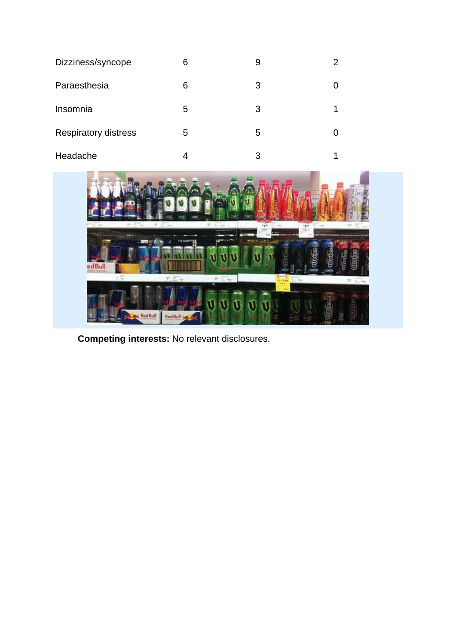| Dizziness/syncope           | 6 | 9 |  |
|-----------------------------|---|---|--|
| Paraesthesia                | 6 | 3 |  |
| Insomnia                    | 5 | 3 |  |
| <b>Respiratory distress</b> | 5 | 5 |  |
| Headache                    | 4 | 3 |  |



**Competing interests:** No relevant disclosures.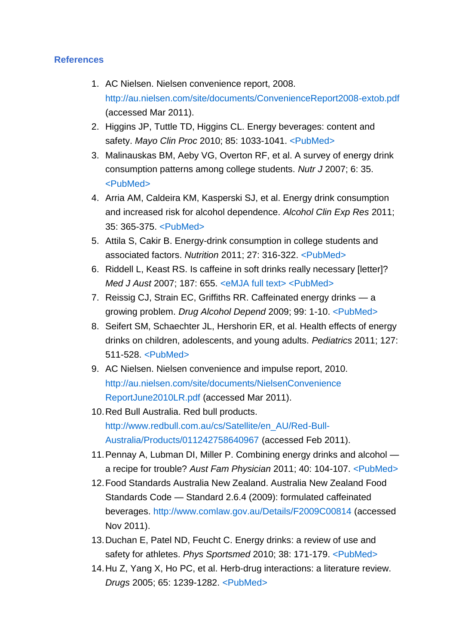#### **References**

- 1. AC Nielsen. Nielsen convenience report, 2008. <http://au.nielsen.com/site/documents/ConvenienceReport2008-extob.pdf> (accessed Mar 2011).
- 2. Higgins JP, Tuttle TD, Higgins CL. Energy beverages: content and safety. *Mayo Clin Proc* 2010; 85: 1033-1041. [<PubMed>](http://www.ncbi.nlm.nih.gov/entrez/query.fcgi?cmd=Retrieve&db=PubMed&list_uids=21037046&dopt=Abstract)
- 3. Malinauskas BM, Aeby VG, Overton RF, et al. A survey of energy drink consumption patterns among college students. *Nutr J* 2007; 6: 35. [<PubMed>](http://www.ncbi.nlm.nih.gov/entrez/query.fcgi?cmd=Retrieve&db=PubMed&list_uids=17974021&dopt=Abstract)
- 4. Arria AM, Caldeira KM, Kasperski SJ, et al. Energy drink consumption and increased risk for alcohol dependence. *Alcohol Clin Exp Res* 2011; 35: 365-375. [<PubMed>](http://www.ncbi.nlm.nih.gov/entrez/query.fcgi?cmd=Retrieve&db=PubMed&list_uids=21073486&dopt=Abstract)
- 5. Attila S, Cakir B. Energy-drink consumption in college students and associated factors. *Nutrition* 2011; 27: 316-322. [<PubMed>](http://www.ncbi.nlm.nih.gov/entrez/query.fcgi?cmd=Retrieve&db=PubMed&list_uids=20579846&dopt=Abstract)
- 6. Riddell L, Keast RS. Is caffeine in soft drinks really necessary [letter]? *Med J Aust* 2007; 187: 655. [<eMJA full text>](http://www.mja.com.au/public/issues/187_11_031207/rid10097_fm.html) [<PubMed>](http://www.ncbi.nlm.nih.gov/entrez/query.fcgi?cmd=Retrieve&db=PubMed&list_uids=18072908&dopt=Abstract)
- 7. Reissig CJ, Strain EC, Griffiths RR. Caffeinated energy drinks a growing problem. *Drug Alcohol Depend* 2009; 99: 1-10. [<PubMed>](http://www.ncbi.nlm.nih.gov/entrez/query.fcgi?cmd=Retrieve&db=PubMed&list_uids=18809264&dopt=Abstract)
- 8. Seifert SM, Schaechter JL, Hershorin ER, et al. Health effects of energy drinks on children, adolescents, and young adults. *Pediatrics* 2011; 127: 511-528. [<PubMed>](http://www.ncbi.nlm.nih.gov/entrez/query.fcgi?cmd=Retrieve&db=PubMed&list_uids=21321035&dopt=Abstract)
- 9. AC Nielsen. Nielsen convenience and impulse report, 2010. [http://au.nielsen.com/site/documents/NielsenConvenience](http://au.nielsen.com/site/documents/NielsenConvenienceReportJune2010LR.pdf)  [ReportJune2010LR.pdf](http://au.nielsen.com/site/documents/NielsenConvenienceReportJune2010LR.pdf) (accessed Mar 2011).
- 10.Red Bull Australia. Red bull products. [http://www.redbull.com.au/cs/Satellite/en\\_AU/Red-Bull-](http://www.redbull.com.au/cs/Satellite/en_AU/Red-Bull-Australia/Products/011242758640967)[Australia/Products/011242758640967](http://www.redbull.com.au/cs/Satellite/en_AU/Red-Bull-Australia/Products/011242758640967) (accessed Feb 2011).
- 11.Pennay A, Lubman DI, Miller P. Combining energy drinks and alcohol a recipe for trouble? *Aust Fam Physician* 2011; 40: 104-107. [<PubMed>](http://www.ncbi.nlm.nih.gov/entrez/query.fcgi?cmd=Retrieve&db=PubMed&list_uids=21597509&dopt=Abstract)
- 12.Food Standards Australia New Zealand. Australia New Zealand Food Standards Code — Standard 2.6.4 (2009): formulated caffeinated beverages.<http://www.comlaw.gov.au/Details/F2009C00814> (accessed Nov 2011).
- 13.Duchan E, Patel ND, Feucht C. Energy drinks: a review of use and safety for athletes. *Phys Sportsmed* 2010; 38: 171-179. [<PubMed>](http://www.ncbi.nlm.nih.gov/entrez/query.fcgi?cmd=Retrieve&db=PubMed&list_uids=20631477&dopt=Abstract)
- 14.Hu Z, Yang X, Ho PC, et al. Herb-drug interactions: a literature review. *Drugs* 2005; 65: 1239-1282. [<PubMed>](http://www.ncbi.nlm.nih.gov/entrez/query.fcgi?cmd=Retrieve&db=PubMed&list_uids=15916450&dopt=Abstract)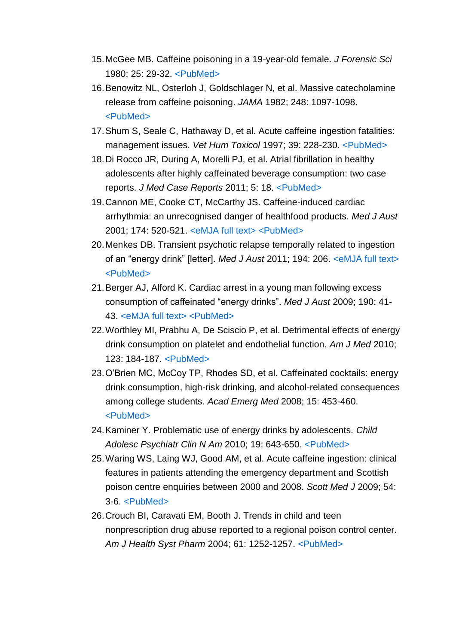- 15.McGee MB. Caffeine poisoning in a 19-year-old female. *J Forensic Sci* 1980; 25: 29-32. [<PubMed>](http://www.ncbi.nlm.nih.gov/entrez/query.fcgi?cmd=Retrieve&db=PubMed&list_uids=7391779&dopt=Abstract)
- 16.Benowitz NL, Osterloh J, Goldschlager N, et al. Massive catecholamine release from caffeine poisoning. *JAMA* 1982; 248: 1097-1098. [<PubMed>](http://www.ncbi.nlm.nih.gov/entrez/query.fcgi?cmd=Retrieve&db=PubMed&list_uids=7109204&dopt=Abstract)
- 17.Shum S, Seale C, Hathaway D, et al. Acute caffeine ingestion fatalities: management issues. *Vet Hum Toxicol* 1997; 39: 228-230. [<PubMed>](http://www.ncbi.nlm.nih.gov/entrez/query.fcgi?cmd=Retrieve&db=PubMed&list_uids=9251173&dopt=Abstract)
- 18.Di Rocco JR, During A, Morelli PJ, et al. Atrial fibrillation in healthy adolescents after highly caffeinated beverage consumption: two case reports. *J Med Case Reports* 2011; 5: 18. [<PubMed>](http://www.ncbi.nlm.nih.gov/entrez/query.fcgi?cmd=Retrieve&db=PubMed&list_uids=21247417&dopt=Abstract)
- 19.Cannon ME, Cooke CT, McCarthy JS. Caffeine-induced cardiac arrhythmia: an unrecognised danger of healthfood products. *Med J Aust* 2001; 174: 520-521. [<eMJA full text>](http://www.mja.com.au/public/issues/174_10_210501/cannon/cannon.html) [<PubMed>](http://www.ncbi.nlm.nih.gov/entrez/query.fcgi?cmd=Retrieve&db=PubMed&list_uids=11419773&dopt=Abstract)
- 20.Menkes DB. Transient psychotic relapse temporally related to ingestion of an "energy drink" [letter]. *Med J Aust* 2011; 194: 206. [<eMJA full text>](http://www.mja.com.au/public/issues/194_04_210211/letters_210211_fm-3.html) [<PubMed>](http://www.ncbi.nlm.nih.gov/entrez/query.fcgi?cmd=Retrieve&db=PubMed&list_uids=21401467&dopt=Abstract)
- 21.Berger AJ, Alford K. Cardiac arrest in a young man following excess consumption of caffeinated "energy drinks". *Med J Aust* 2009; 190: 41- 43. [<eMJA full text>](http://www.mja.com.au/public/issues/190_01_050109/ber10142_fm.html) [<PubMed>](http://www.ncbi.nlm.nih.gov/entrez/query.fcgi?cmd=Retrieve&db=PubMed&list_uids=19120009&dopt=Abstract)
- 22.Worthley MI, Prabhu A, De Sciscio P, et al. Detrimental effects of energy drink consumption on platelet and endothelial function. *Am J Med* 2010; 123: 184-187. [<PubMed>](http://www.ncbi.nlm.nih.gov/entrez/query.fcgi?cmd=Retrieve&db=PubMed&list_uids=20103032&dopt=Abstract)
- 23.O'Brien MC, McCoy TP, Rhodes SD, et al. Caffeinated cocktails: energy drink consumption, high-risk drinking, and alcohol-related consequences among college students. *Acad Emerg Med* 2008; 15: 453-460. [<PubMed>](http://www.ncbi.nlm.nih.gov/entrez/query.fcgi?cmd=Retrieve&db=PubMed&list_uids=Can)
- 24.Kaminer Y. Problematic use of energy drinks by adolescents. *Child Adolesc Psychiatr Clin N Am* 2010; 19: 643-650. [<PubMed>](http://www.ncbi.nlm.nih.gov/entrez/query.fcgi?cmd=Retrieve&db=PubMed&list_uids=20682226&dopt=Abstract)
- 25.Waring WS, Laing WJ, Good AM, et al. Acute caffeine ingestion: clinical features in patients attending the emergency department and Scottish poison centre enquiries between 2000 and 2008. *Scott Med J* 2009; 54:  $3-6.$  [<PubMed>](http://www.ncbi.nlm.nih.gov/entrez/query.fcgi?cmd=Retrieve&db=PubMed&list_uids=20050298&dopt=Abstract)
- 26.Crouch BI, Caravati EM, Booth J. Trends in child and teen nonprescription drug abuse reported to a regional poison control center. *Am J Health Syst Pharm* 2004; 61: 1252-1257. [<PubMed>](http://www.ncbi.nlm.nih.gov/entrez/query.fcgi?cmd=Retrieve&db=PubMed&list_uids=15259755&dopt=Abstract)